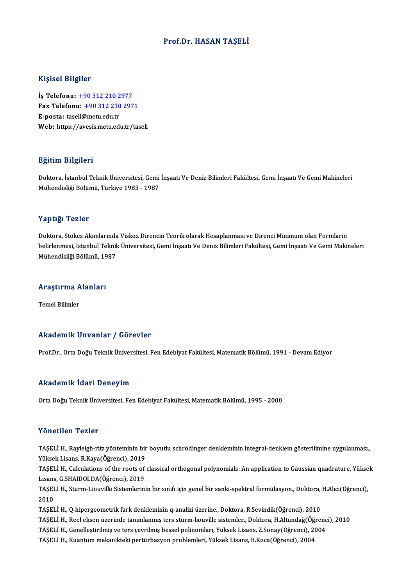### Prof.Dr. HASAN TAŞELİ

#### Kişisel Bilgiler

Kişisel Bilgiler<br>İş Telefonu: <u>+90 312 210 2977</u><br>Fax Telefonu: +90 212 210 297 1133001 2115101<br>İş Telefonu: <u>+90 312 210 2977</u><br>Fax Telefonu: <u>+90 312 210 2971</u> İş Telefonu: <u>+90 312 210 2</u><br>Fax Telefonu: <u>+90 312 210</u><br>E-posta: tase[li@metu.edu.tr](tel:+90 312 210 2977)<br>Web: https://avesis.metu.edu Fax Telefonu: <u>+90 312 210 2971</u><br>E-posta: taseli@metu.edu.tr<br>Web: https://a[vesis.metu.edu.tr/ta](tel:+90 312 210 2971)seli

### Eğitim Bilgileri

**Eğitim Bilgileri**<br>Doktora, İstanbul Teknik Üniversitesi, Gemi İnşaatı Ve Deniz Bilimleri Fakültesi, Gemi İnşaatı Ve Gemi Makineleri<br>Mühandisliği Bölümü, Türkiye 1992, 1997 1911 - 11911<br>Doktora, İstanbul Teknik Üniversitesi, Gemi<br>Mühendisliği Bölümü, Türkiye 1983 - 1987 Mühendisliği Bölümü, Türkiye 1983 - 1987<br>Yaptığı Tezler

Doktora, Stokes Akımlarında Viskoz Direncin Teorik olarak Hesaplanması ve Direnci Minimum olan Formların r diplengi il oliroli<br>Doktora, Stokes Akımlarında Viskoz Direncin Teorik olarak Hesaplanması ve Direnci Minimum olan Formların<br>Mühandialiği Bölümü, 1997 Doktora, Stokes Akımlarında<br>belirlenmesi, İstanbul Teknil<br>Mühendisliği Bölümü, 1987

## <sub>Munenaisiigi Bolumu, 19</sub><br>Araştırma Alanları <mark>Araştırma A</mark><br>Temel Bilimler

# Akademik Unvanlar / Görevler

Prof.Dr., Orta Doğu Teknik Üniversitesi, Fen Edebiyat Fakültesi, Matematik Bölümü, 1991 - Devam Ediyor

#### Akademik İdari Deneyim

Orta Doğu Teknik Üniversitesi, Fen Edebiyat Fakültesi, Matematik Bölümü, 1995 - 2000

#### Yönetilen Tezler

Yönetilen Tezler<br>TAŞELİ H., Rayleigh-ritz yönteminin bir boyutlu schrödinger denkleminin integral-denklem gösterilimine uygulanması.,<br>Yükaak Lisans, B.Kaya(Öğrengi), 2019 Yüksek<br>TAŞELİ H., Rayleigh-ritz yönteminin bir<br>Yüksek Lisans, R.Kaya(Öğrenci), 2019<br>TASELİ H., Calgulations of the roots of TAŞELİ H., Rayleigh-ritz yönteminin bir boyutlu schrödinger denkleminin integral-denklem gösterilimine uygulanması.,<br>Yüksek Lisans, R.Kaya(Öğrenci), 2019<br>TAŞELİ H., Calculations of the roots of classical orthogonal polynom

Yüksek Lisans, R.Kaya(Öğrenci), 2019<br>TAŞELİ H., Calculations of the roots of<br>Lisans, G.SHAIDOLDA(Öğrenci), 2019<br>TASELİ H. Sturm Liauville Sistemlerini TAŞELİ H., Calculations of the roots of classical orthogonal polynomials: An application to Gaussian quadrature, Yükse<br>Lisans, G.SHAIDOLDA(Öğrenci), 2019<br>TAŞELİ H., Sturm-Liouville Sistemlerinin bir sınıfı için genel bir s

Lisans<br>TAȘEI<br>2010<br>TASEI TAŞELİ H., Sturm-Liouville Sistemlerinin bir sınıfı için genel bir sanki-spektral formülasyon., Doktora, H.Alıcı(Öğrenci),<br>2010<br>TAŞELİ H., Q-hipergeometrik fark denkleminin q-analizi üzerine., Doktora, R.Sevindik(Öğrenci), 2010<br>TAŞELİ H., Q-hipergeometrik fark denkleminin q-analizi üzerine., Doktora, R.Sevindik(Öğrenci), 2010<br>TAŞELİ H., Reel eksen üzerinde tanımlanmış ters sturm-lıouville sistemler., Doktora, H.Altundağ(Öğrenci), 2010<br>TASELİ

TAŞELİ H., Q-hipergeometrik fark denkleminin q-analizi üzerine., Doktora, R.Sevindik(Öğrenci), 2010<br>TAŞELİ H., Reel eksen üzerinde tanımlanmış ters sturm-lıouville sistemler., Doktora, H.Altundağ(Öğrenc<br>TAŞELİ H., Genelleş TAŞELİ H., Reel eksen üzerinde tanımlanmış ters sturm-lıouville sistemler., Doktora, H.Altundağ(Öğ<br>TAŞELİ H., Genelleştirilmiş ve ters çevrilmiş bessel polinomları, Yüksek Lisans, Z.Sonay(Öğrenci), 2<br>TAŞELİ H., Kuantum mek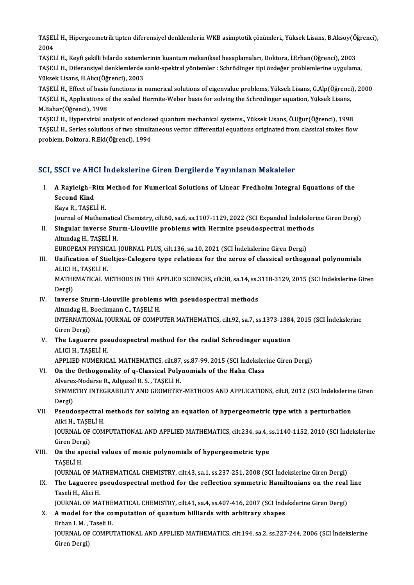TAŞELİ H., Hipergeometrik tipten diferensiyel denklemlerin WKB asimptotik çözümleri., Yüksek Lisans, B.Aksoy(Öğrenci),<br>2004 TAŞEI<br>2004<br>Tasei TAŞELİ H., Hipergeometrik tipten diferensiyel denklemlerin WKB asimptotik çözümleri., Yüksek Lisans, B.Aksoy(Ö<br>2004<br>TAŞELİ H., Keyfi şekilli bilardo sistemlerinin kuantum mekaniksel hesaplamaları, Doktora, İ.Erhan(Öğrenci)

2004<br>TAŞELİ H., Keyfi şekilli bilardo sistemlerinin kuantum mekaniksel hesaplamaları, Doktora, İ.Erhan(Öğrenci), 2003<br>TAŞELİ H., Diferansiyel denklemlerde sanki-spektral yöntemler : Schrödinger tipi özdeğer problemlerine u TAŞELİ H., Keyfi şekilli bilardo sistemle<br>TAŞELİ H., Diferansiyel denklemlerde<br>Yüksek Lisans, H.Alıcı(Öğrenci), 2003<br>TASELİ H., Effect of basis functions in

Yüksek Lisans, H.Alıcı(Öğrenci), 2003<br>TAŞELİ H., Effect of basis functions in numerical solutions of eigenvalue problems, Yüksek Lisans, G.Alp(Öğrenci), 2000 Yüksek Lisans, H.Alıcı(Öğrenci), 2003<br>TAŞELİ H., Effect of basis functions in numerical solutions of eigenvalue problems, Yüksek Lisans, G.Alp(Öğrenci<br>TAŞELİ H., Applications of the scaled Hermite-Weber basis for solving t TAŞELİ H., Effect of basis<br>TAŞELİ H., Applications o<br>M.Bahar(Öğrenci), 1998<br>TASELİ H., Hunoruirial an

M.Bahar(Öğrenci), 1998<br>TASELİ H., Hypervirial analysis of enclosed quantum mechanical systems., Yüksek Lisans, Ö.Uğur(Öğrenci), 1998 M.Bahar(Öğrenci), 1998<br>TAŞELİ H., Hypervirial analysis of enclosed quantum mechanical systems., Yüksek Lisans, Ö.Uğur(Öğrenci), 1998<br>TAŞELİ H., Series solutions of two simultaneous vector differential equations originated TAŞELİ H., Hypervirial analysis of enclose<br>TAŞELİ H., Series solutions of two simult:<br>problem, Doktora, R.Eid(Öğrenci), 1994

# problem, Doktora, R.Eid(Öğrenci), 1994<br>SCI, SSCI ve AHCI İndekslerine Giren Dergilerde Yayınlanan Makaleler

- CI, SSCI ve AHCI İndekslerine Giren Dergilerde Yayınlanan Makaleler<br>I. A Rayleigh–Ritz Method for Numerical Solutions of Linear Fredholm Integral Equations of the<br>Second Kind Been ve mix<br>A Rayleigh-R<br>Second Kind<br>Kaya B TASEL A Rayleigh-Ritz<br>Second Kind<br>Kaya R., TAŞELİ H.<br>Journal of Matham Second Kind<br>Kaya R., TAŞELİ H.<br>Journal of Mathematical Chemistry, cilt.60, sa.6, ss.1107-1129, 2022 (SCI Expanded İndekslerine Giren Dergi)
	-

Kaya R., TAŞELİ H.<br>Journal of Mathematical Chemistry, cilt.60, sa.6, ss.1107-1129, 2022 (SCI Expanded İndeksler<br>II. Singular inverse Sturm-Liouville problems with Hermite pseudospectral methods<br>Altundag H. TASELİ H. Journal of Mathematic<mark>a</mark><br>Singular inverse Stu<br>Altundag H., TAŞELİ H.<br>FUROPEAN PHYSICAL Singular inverse Sturm-Liouville problems with Hermite pseudospectral method<br>Altundag H., TAŞELİ H.<br>EUROPEAN PHYSICAL JOURNAL PLUS, cilt.136, sa.10, 2021 (SCI İndekslerine Giren Dergi)<br>Unification of Stielties Calegare tun

Altundag H., TAŞELİ H.<br>EUROPEAN PHYSICAL JOURNAL PLUS, cilt.136, sa.10, 2021 (SCI İndekslerine Giren Dergi)<br>III. Unification of Stieltjes-Calogero type relations for the zeros of classical orthogonal polynomials<br>ALICLH TAS EUROPEAN PHYSIC<br>Unification of Stie<br>ALICI H., TAŞELİ H.<br>MATUEMATICAL M Unification of Stieltjes-Calogero type relations for the zeros of classical orthogonal polynomials<br>ALICI H., TAȘELİ H.<br>MATHEMATICAL METHODS IN THE APPLIED SCIENCES, cilt.38, sa.14, ss.3118-3129, 2015 (SCI İndekslerine Gire

ALICI F<br>MATHE<br>Dergi)<br>Invers MATHEMATICAL METHODS IN THE APPLIED SCIENCES, cilt.38, sa.14, ss.3<br>Dergi)<br>IV. Inverse Sturm-Liouville problems with pseudospectral methods<br>Altundag H. Beschmann C. TASELLH

- Dergi)<br>Inverse Sturm-Liouville problems<br>Altundag H., Boeckmann C., TAŞELİ H.<br>INTERNATIONAL JOURNAL OE COMPL Inverse Sturm-Liouville problems with pseudospectral methods<br>Altundag H., Boeckmann C., TAŞELİ H.<br>INTERNATIONAL JOURNAL OF COMPUTER MATHEMATICS, cilt.92, sa.7, ss.1373-1384, 2015 (SCI İndekslerine<br>Ciron Dergi) Altundag H., I<br>INTERNATIO<br>Giren Dergi)<br>The Legueru INTERNATIONAL JOURNAL OF COMPUTER MATHEMATICS, cilt.92, sa.7, ss.1373-1384<br>Giren Dergi)<br>V. The Laguerre pseudospectral method for the radial Schrodinger equation<br>ALICLU TASELLY
- Giren Dergi)<br><mark>The Laguerre pse</mark><br>ALICI H., TAŞELİ H.<br>APRLIED NUMERIC The Laguerre pseudospectral method for the radial Schrodinger equation<br>ALICI H., TAŞELİ H.<br>APPLIED NUMERICAL MATHEMATICS, cilt.87, ss.87-99, 2015 (SCI İndekslerine Giren Dergi)<br>On the Orthogonality of a Classical Balynomia

## ALICI H., TAȘELI H.<br>APPLIED NUMERICAL MATHEMATICS, cilt.87, ss.87-99, 2015 (SCI Indekslei<br>VI. On the Orthogonality of q-Classical Polynomials of the Hahn Class<br>Alvarez-Nodarse R., Adiguzel R. S., TAŞELI H. APPLIED NUMERICAL MATHEMATICS, cilt.87,<br>On the Orthogonality of q-Classical Poly<br>Alvarez-Nodarse R., Adiguzel R. S. , TAŞELİ H.<br>SYMMETPY INTECRAPU ITY AND CEOMETPY On the Orthogonality of q-Classical Polynomials of the Hahn Class<br>Alvarez-Nodarse R., Adiguzel R. S. , TAŞELİ H.<br>SYMMETRY INTEGRABILITY AND GEOMETRY-METHODS AND APPLICATIONS, cilt.8, 2012 (SCI İndekslerine Giren<br>Persi) Alvarez<br>SYMME<br>Dergi)<br>Bseud

## SYMMETRY INTEGRABILITY AND GEOMETRY-METHODS AND APPLICATIONS, cilt.8, 2012 (SCI İndekslerin<br>Dergi)<br>VII. Pseudospectral methods for solving an equation of hypergeometric type with a perturbation<br>Alig H. TASELLH Dergi)<br>VII. Pseudospectral methods for solving an equation of hypergeometric type with a perturbation<br>Alici H., TASELİ H. Pseudospectral methods for solving an equation of hypergeometric type with a perturbation<br>Alici H., TAŞELİ H.<br>JOURNAL OF COMPUTATIONAL AND APPLIED MATHEMATICS, cilt.234, sa.4, ss.1140-1152, 2010 (SCI İndekslerine<br>Ciron Der

Alici H., TAŞE<br>JOURNAL OF<br>Giren Dergi)<br>On the spee JOURNAL OF COMPUTATIONAL AND APPLIED MATHEMATICS, cilt.234, sa.4, s<br>Giren Dergi)<br>VIII. On the special values of monic polynomials of hypergeometric type<br>TASELLH

## Giren Der<sub>i</sub><br>On the sp<br>TAŞELİ H.<br>JOUPNAL TAŞELİ H.<br>JOURNAL OF MATHEMATICAL CHEMISTRY, cilt.43, sa.1, ss.237-251, 2008 (SCI İndekslerine Giren Dergi)

## TAŞELİ H.<br>JOURNAL OF MATHEMATICAL CHEMISTRY, cilt.43, sa.1, ss.237-251, 2008 (SCI İndekslerine Giren Dergi)<br>IX. The Laguerre pseudospectral method for the reflection symmetric Hamiltonians on the real line<br>Taseli H. Al JOURNAL OF MA<br><mark>The Laguerre <sub>l</sub><br>Taseli H., Alici H.</mark><br>JOURNAL OF MA The Laguerre pseudospectral method for the reflection symmetric Hamiltonians on the real<br>Taseli H., Alici H.<br>JOURNAL OF MATHEMATICAL CHEMISTRY, cilt.41, sa.4, ss.407-416, 2007 (SCI İndekslerine Giren Dergi)<br>A model for the

JOURNAL OF MATHEMATICAL CHEMISTRY, cilt.41, sa.4, ss.407-416, 2007 (SCI Indekslerine Giren Dergi)

Taseli H., Alici H.<br>JOURNAL OF MATHEMATICAL CHEMISTRY, cilt.41, sa.4, ss.407-416, 2007 (SCI Index.<br>X. A model for the computation of quantum billiards with arbitrary shapes<br>Erhan I. M. , Taseli H. JOURNAL OF COMPUTATIONAL AND APPLIED MATHEMATICS, cilt.194, sa.2, ss.227-244, 2006 (SCI İndekslerine Giren Dergi)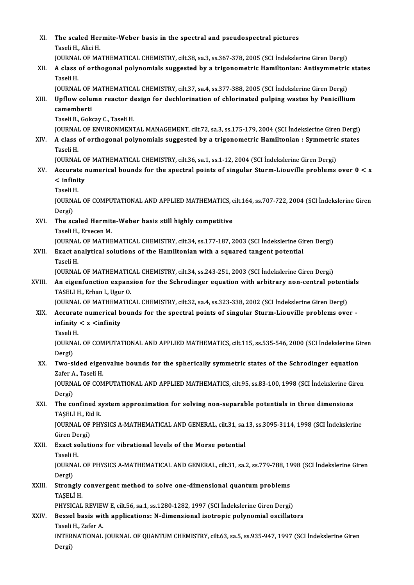| XI.    | The scaled Hermite-Weber basis in the spectral and pseudospectral pictures<br>Taseli H., Alici H.                                                                                                                            |
|--------|------------------------------------------------------------------------------------------------------------------------------------------------------------------------------------------------------------------------------|
|        | JOURNAL OF MATHEMATICAL CHEMISTRY, cilt.38, sa.3, ss.367-378, 2005 (SCI Indekslerine Giren Dergi)                                                                                                                            |
| XII.   | A class of orthogonal polynomials suggested by a trigonometric Hamiltonian: Antisymmetric states<br>Taseli H.                                                                                                                |
| XIII.  | JOURNAL OF MATHEMATICAL CHEMISTRY, cilt.37, sa.4, ss.377-388, 2005 (SCI Indekslerine Giren Dergi)<br>Upflow column reactor design for dechlorination of chlorinated pulping wastes by Penicillium<br>camemberti              |
|        | Taseli B., Gokcay C., Taseli H.                                                                                                                                                                                              |
| XIV.   | JOURNAL OF ENVIRONMENTAL MANAGEMENT, cilt.72, sa.3, ss.175-179, 2004 (SCI İndekslerine Giren Dergi)<br>A class of orthogonal polynomials suggested by a trigonometric Hamiltonian : Symmetric states<br>Taseli H.            |
|        | JOURNAL OF MATHEMATICAL CHEMISTRY, cilt.36, sa.1, ss.1-12, 2004 (SCI Indekslerine Giren Dergi)                                                                                                                               |
| XV.    | Accurate numerical bounds for the spectral points of singular Sturm-Liouville problems over 0 < x<br>$\langle$ infinity                                                                                                      |
|        | Taseli H.<br>JOURNAL OF COMPUTATIONAL AND APPLIED MATHEMATICS, cilt.164, ss.707-722, 2004 (SCI Indekslerine Giren                                                                                                            |
|        | Dergi)                                                                                                                                                                                                                       |
| XVI.   | The scaled Hermite-Weber basis still highly competitive<br>Taseli H., Ersecen M.                                                                                                                                             |
|        | JOURNAL OF MATHEMATICAL CHEMISTRY, cilt.34, ss.177-187, 2003 (SCI İndekslerine Giren Dergi)                                                                                                                                  |
| XVII.  | Exact analytical solutions of the Hamiltonian with a squared tangent potential<br>Taseli H.                                                                                                                                  |
| XVIII. | JOURNAL OF MATHEMATICAL CHEMISTRY, cilt.34, ss.243-251, 2003 (SCI İndekslerine Giren Dergi)<br>An eigenfunction expansion for the Schrodinger equation with arbitrary non-central potentials<br>TASELI H., Erhan I., Ugur O. |
| XIX.   | JOURNAL OF MATHEMATICAL CHEMISTRY, cilt.32, sa.4, ss.323-338, 2002 (SCI İndekslerine Giren Dergi)<br>Accurate numerical bounds for the spectral points of singular Sturm-Liouville problems over -                           |
|        | infinity $< x <$ infinity<br>Taseli H.                                                                                                                                                                                       |
|        | JOURNAL OF COMPUTATIONAL AND APPLIED MATHEMATICS, cilt.115, ss.535-546, 2000 (SCI Indekslerine Giren                                                                                                                         |
| XX.    | Dergi)<br>Two-sided eigenvalue bounds for the spherically symmetric states of the Schrodinger equation                                                                                                                       |
|        | Zafer A., Taseli H.                                                                                                                                                                                                          |
|        | JOURNAL OF COMPUTATIONAL AND APPLIED MATHEMATICS, cilt.95, ss.83-100, 1998 (SCI Indekslerine Giren<br>Dergi)                                                                                                                 |
| XXI.   | The confined system approximation for solving non-separable potentials in three dimensions<br>TASELI H., Eid R.                                                                                                              |
|        | JOURNAL OF PHYSICS A-MATHEMATICAL AND GENERAL, cilt.31, sa.13, ss.3095-3114, 1998 (SCI İndekslerine<br>Giren Dergi)                                                                                                          |
| XXII.  | Exact solutions for vibrational levels of the Morse potential<br>Taseli H.                                                                                                                                                   |
|        | JOURNAL OF PHYSICS A-MATHEMATICAL AND GENERAL, cilt.31, sa.2, ss.779-788, 1998 (SCI İndekslerine Giren<br>Dergi)                                                                                                             |
| XXIII. | Strongly convergent method to solve one-dimensional quantum problems<br>TAȘELI H.                                                                                                                                            |
|        | PHYSICAL REVIEW E, cilt.56, sa.1, ss.1280-1282, 1997 (SCI İndekslerine Giren Dergi)                                                                                                                                          |
| XXIV.  | Bessel basis with applications: N-dimensional isotropic polynomial oscillators<br>Taseli H., Zafer A.                                                                                                                        |
|        | INTERNATIONAL JOURNAL OF QUANTUM CHEMISTRY, cilt.63, sa.5, ss.935-947, 1997 (SCI Indekslerine Giren<br>Dergi)                                                                                                                |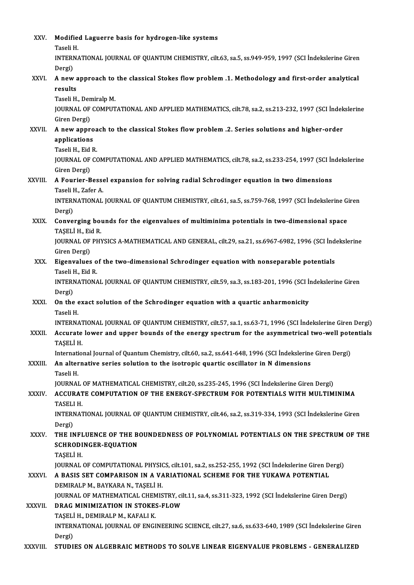| XXV.         | Modified Laguerre basis for hydrogen-like systems<br>Taseli H.                                                                                                                                                           |
|--------------|--------------------------------------------------------------------------------------------------------------------------------------------------------------------------------------------------------------------------|
|              | INTERNATIONAL JOURNAL OF QUANTUM CHEMISTRY, cilt.63, sa.5, ss.949-959, 1997 (SCI Indekslerine Giren<br>Dergi)                                                                                                            |
| XXVI.        | A new approach to the classical Stokes flow problem .1. Methodology and first-order analytical<br>results                                                                                                                |
|              | Taseli H., Demiralp M.<br>JOURNAL OF COMPUTATIONAL AND APPLIED MATHEMATICS, cilt.78, sa.2, ss.213-232, 1997 (SCI İndekslerine                                                                                            |
| XXVII.       | Giren Dergi)<br>A new approach to the classical Stokes flow problem .2. Series solutions and higher-order                                                                                                                |
|              | applications<br>Taseli H., Eid R.                                                                                                                                                                                        |
|              | JOURNAL OF COMPUTATIONAL AND APPLIED MATHEMATICS, cilt.78, sa.2, ss.233-254, 1997 (SCI Indekslerine<br>Giren Dergi)                                                                                                      |
| XXVIII.      | A Fourier-Bessel expansion for solving radial Schrodinger equation in two dimensions<br>Taseli H., Zafer A.                                                                                                              |
|              | INTERNATIONAL JOURNAL OF QUANTUM CHEMISTRY, cilt.61, sa.5, ss.759-768, 1997 (SCI Indekslerine Giren<br>Dergi)                                                                                                            |
| XXIX.        | Converging bounds for the eigenvalues of multiminima potentials in two-dimensional space<br>TASELI H., Eid R.                                                                                                            |
|              | JOURNAL OF PHYSICS A-MATHEMATICAL AND GENERAL, cilt.29, sa.21, ss.6967-6982, 1996 (SCI İndekslerine<br>Giren Dergi)                                                                                                      |
| XXX.         | Eigenvalues of the two-dimensional Schrodinger equation with nonseparable potentials<br>Taseli H., Eid R.                                                                                                                |
|              | INTERNATIONAL JOURNAL OF QUANTUM CHEMISTRY, cilt.59, sa.3, ss.183-201, 1996 (SCI Indekslerine Giren<br>Dergi)                                                                                                            |
| XXXI.        | On the exact solution of the Schrodinger equation with a quartic anharmonicity<br>Taseli H                                                                                                                               |
| XXXII.       | INTERNATIONAL JOURNAL OF QUANTUM CHEMISTRY, cilt.57, sa.1, ss.63-71, 1996 (SCI İndekslerine Giren Dergi)<br>Accurate lower and upper bounds of the energy spectrum for the asymmetrical two-well potentials<br>TAȘELI H. |
| XXXIII.      | International Journal of Quantum Chemistry, cilt.60, sa.2, ss.641-648, 1996 (SCI Indekslerine Giren Dergi)<br>An alternative series solution to the isotropic quartic oscillator in N dimensions                         |
|              | Taseli H.<br>JOURNAL OF MATHEMATICAL CHEMISTRY, cilt.20, ss.235-245, 1996 (SCI İndekslerine Giren Dergi)                                                                                                                 |
| <b>XXXIV</b> | ACCURATE COMPUTATION OF THE ENERGY-SPECTRUM FOR POTENTIALS WITH MULTIMINIMA<br>TASELI H.                                                                                                                                 |
|              | INTERNATIONAL JOURNAL OF QUANTUM CHEMISTRY, cilt.46, sa.2, ss.319-334, 1993 (SCI İndekslerine Giren<br>Dergi)                                                                                                            |
| XXXV.        | THE INFLUENCE OF THE BOUNDEDNESS OF POLYNOMIAL POTENTIALS ON THE SPECTRUM OF THE<br><b>SCHRODINGER-EQUATION</b><br>TAȘELI H.                                                                                             |
| <b>XXXVI</b> | JOURNAL OF COMPUTATIONAL PHYSICS, cilt.101, sa.2, ss.252-255, 1992 (SCI İndekslerine Giren Dergi)<br>A BASIS SET COMPARISON IN A VARIATIONAL SCHEME FOR THE YUKAWA POTENTIAL<br>DEMIRALP M., BAYKARA N., TAŞELİ H.       |
| XXXVII.      | JOURNAL OF MATHEMATICAL CHEMISTRY, cilt.11, sa.4, ss.311-323, 1992 (SCI İndekslerine Giren Dergi)<br>DRAG MINIMIZATION IN STOKES-FLOW                                                                                    |
|              | TAŞELİ H., DEMIRALP M., KAFALI K.<br>INTERNATIONAL JOURNAL OF ENGINEERING SCIENCE, cilt.27, sa.6, ss.633-640, 1989 (SCI Indekslerine Giren                                                                               |
| XXXVIII.     | Dergi)<br>STUDIES ON ALGEBRAIC METHODS TO SOLVE LINEAR EIGENVALUE PROBLEMS - GENERALIZED                                                                                                                                 |
|              |                                                                                                                                                                                                                          |